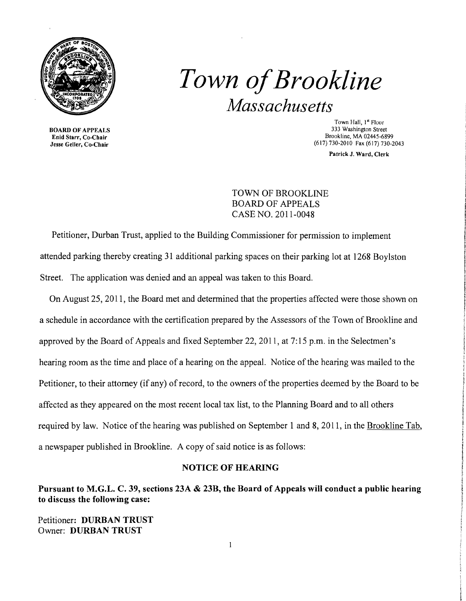

BOARD OF APPEALS Enid Starr, Co-Chair Jesse Geller, Co-Chair

# *Town ofBrookline Massachusetts*

Town Hall, I" Floor 333 Washington Street Brookline, MA 02445-6899 (617) 730-2010 Fax (617) 730-2043

Patrick J. Ward, Clerk

TOWN OF BROOKLINE BOARD OF APPEALS CASE NO. 2011-0048

Petitioner, Durban Trust, applied to the Building Commissioner for permission to implement attended parking thereby creating 31 additional parking spaces on their parking lot at 1268 Boylston Street. The application was denied and an appeal was taken to this Board.

On August 25, 2011, the Board met and determined that the properties affected were those shown on a schedule in accordance with the certification prepared by the Assessors of the Town of Brookline and approved by the Board of Appeals and fixed September 22, 2011, at 7: 15 p.m. in the Selectmen's hearing room as the time and place of a hearing on the appeal. Notice of the hearing was mailed to the Petitioner, to their attorney (if any) of record, to the owners of the properties deemed by the Board to be affected as they appeared on the most recent local tax list, to the Planning Board and to all others required by law. Notice of the hearing was published on September 1 and 8, 2011, in the Brookline Tab, a newspaper published in Brookline. A copy of said notice is as follows:

#### NOTICE OF HEARING

Pursuant to M.G.L. C. 39, sections 23A & 23B, the Board of Appeals will conduct a public hearing to discuss the following case:

Petitioner: DURBAN TRUST Owner: DURBAN TRUST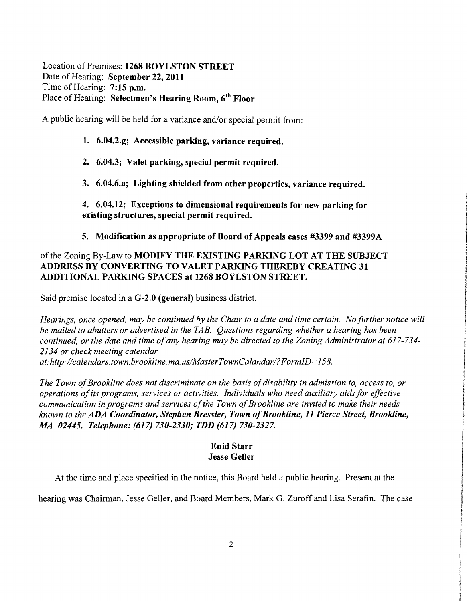Location of Premises: 1268 BOYLSTON STREET Date of Hearing: September 22, 2011 Time of Hearing: 7:15 p.m. Place of Hearing: Selectmen's Hearing Room, 6<sup>th</sup> Floor

A public hearing will be held for a variance and/or special permit from:

## 1. 6.04.2.g; Accessible parking, variance required.

- 2. 6.04.3; Valet parking, special permit required.
- 3. 6.04.6.a; Lighting shielded from other properties, variance required.

4. 6.04.12; Exceptions to dimensional requirements for new parking for existing structures, special permit required.

5. Modification as appropriate of Board of Appeals cases #3399 and #3399A

# of the Zoning By-Law to MODIFY THE EXISTING PARKING LOT AT THE SUBJECT ADDRESS BY CONVERTING TO VALET PARKING THEREBY CREATING 31 ADDITIONAL PARKING SPACES at 1268 BOYLSTON STREET.

Said premise located in a G-2.0 (general) business district.

*Hearings, once opened, may be continued by the Chair to a date and time certain. No Jurther notice will be mailed to abutters or advertised in the TAB. Questions regarding whether a hearing has been continued, or the date and time ojany hearing may be directed to the Zoning Administrator at 617-734 2134 or check meeting calendar* 

*at:http://calendars. town. brookline. ma. uslMasterTownCalandarl?FormID= 158.* 

The Town of Brookline does not discriminate on the basis of disability in admission to, access to, or *operations of its programs, services or activities. Individuals who need auxiliary aids for effective communication in programs and services ojthe Town ojBrookline are invited to make their needs known to the ADA Coordinator, Stephen Bressler, Town ofBrookline,* 11 *Pierce Street, Brookline, MA 02445. Telephone:* (617) *730-2330,. TDD* (617) *730-2327.* 

## Enid Starr Jesse Geller

At the time and place specified in the notice, this Board held a public hearing. Present at the

hearing was Chairman, Jesse Geller, and Board Members, Mark G. Zuroff and Lisa Serafin. The case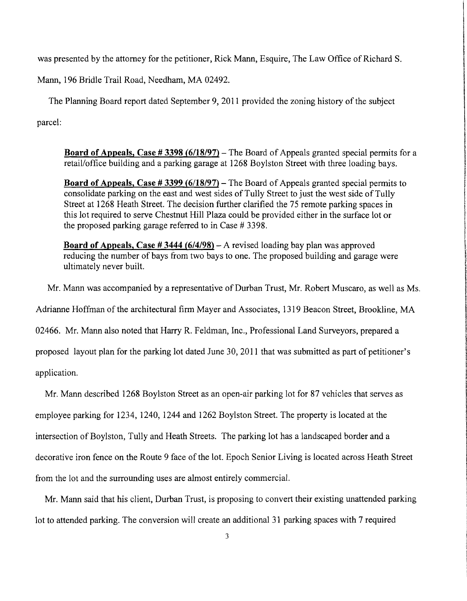was presented by the attorney for the petitioner, Rick Mann, Esquire, The Law Office of Richard S.

Mann, 196 Bridle Trail Road, Needham, MA 02492.

The Planning Board report dated September 9,2011 provided the zoning history of the subject parcel:

**Board of Appeals, Case # 3398 (6/18/97)** – The Board of Appeals granted special permits for a retail/office building and a parking garage at 1268 Boylston Street with three loading bays.

in inglangua

سمارهما الاقتلاف ساره معرفاتهم سعاو تفاشد

**International** 

ti di Albania te de la Salva

**International** 

r

f

**International Association and Constitution and Constitution** 

**In the company of the company's** 

OF DRIVING MEY

**International Control** 

**International Properties** i !

**Board of Appeals, Case # 3399 (6/18/97)** - The Board of Appeals granted special permits to consolidate parking on the east and west sides of Tully Street to just the west side of Tully Street at 1268 Heath Street. The decision further clarified the 75 remote parking spaces in this lot required to serve Chestnut Hill Plaza could be provided either in the surface lot or the proposed parking garage referred to in Case # 3398.

**Board of Appeals, Case # 3444 (6/4/98)** - A revised loading bay plan was approved reducing the number of bays from two bays to one. The proposed building and garage were ultimately never built.

Mr. Mann was accompanied by a representative of Durban Trust, Mr. Robert Muscaro, as well as Ms.

Adrianne Hoffman of the architectural firm Mayer and Associates, 1319 Beacon Street, Brookline, MA

02466. Mr. Mann also noted that Harry R. Feldman, Inc., Professional Land Surveyors, prepared a

proposed layout plan for the parking lot dated June 30, 2011 that was submitted as part of petitioner's

application.

Mr. Mann described 1268 Boylston Street as an open-air parking lot for 87 vehicles that serves as employee parking for 1234, 1240, 1244 and 1262 Boylston Street. The property is located at the intersection of Boylston, Tully and Heath Streets. The parking lot has a landscaped border and a decorative iron fence on the Route 9 face of the lot. Epoch Senior Living is located across Heath Street from the lot and the surrounding uses are almost entirely commercial.

Mr. Mann said that his client, Durban Trust, is proposing to convert their existing unattended parking lot to attended parking. The conversion will create an additional 31 parking spaces with 7 required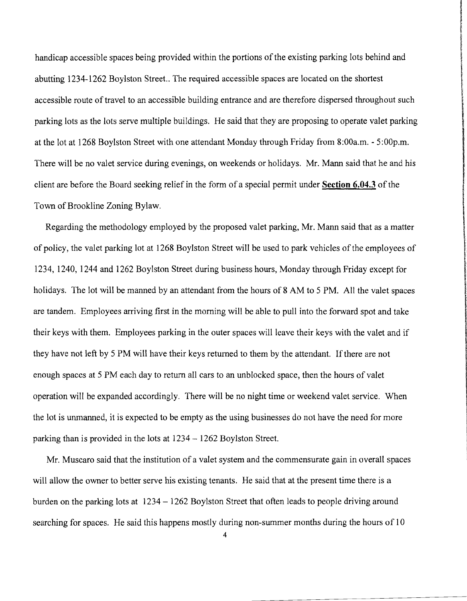handicap accessible spaces being provided within the portions of the existing parking lots behind and abutting 1234-1262 Boylston Street.. The required accessible spaces are located on the shortest accessible route of travel to an accessible building entrance and are therefore dispersed throughout such parking lots as the lots serve multiple buildings. He said that they are proposing to operate valet parking at the lot at 1268 Boylston Street with one attendant Monday through Friday from 8:00a.m. - 5:00p.m. There will be no valet service during evenings, on weekends or holidays. Mr. Mann said that he and his client are before the Board seeking relief in the form of a special permit under **Section 6.04.3** of the Town of Brookline Zoning Bylaw.

l<br>The Communistic Pictures (Communistic Pictures of Communistic Pictures (Communistic Pictures of Communistic P ,<br>Kimama alifahaan kada kada

ناماتك المتكاف الكونية من المراجع المراجعة<br>المادة المادة الأساكونية من المراجعة

**Information of the Constitution of the Constitution** 

**International Constitution Constitution** 

**the distribution** 

**In the Second Act of Act of Act of Act of Act of Act of Act of Act of Act of Act of Act of Act of Act of Act o** 

**technologies** 

International Advertising American Chinese School (2003)

Regarding the methodology employed by the proposed valet parking, Mr. Mann said that as a matter of policy, the valet parking lot at 1268 Boylston Street will be used to park vehicles of the employees of 1234, 1240, 1244 and 1262 Boylston Street during business hours, Monday through Friday except for holidays. The lot will be manned by an attendant from the hours of 8 AM to 5 PM. All the valet spaces are tandem. Employees arriving first in the morning will be able to pull into the forward spot and take their keys with them. Employees parking in the outer spaces will leave their keys with the valet and if they have not left by 5 PM will have their keys returned to them by the attendant. If there are not enough spaces at 5 PM each day to return all cars to an unblocked space, then the hours of valet operation will be expanded accordingly. There will be no night time or weekend valet service. When the lot is unmanned, it is expected to be empty as the using businesses do not have the need for more parking than is provided in the lots at 1234 - 1262 Boylston Street.

Mr. Muscaro said that the institution of a valet system and the commensurate gain in overall spaces will allow the owner to better serve his existing tenants. He said that at the present time there is a burden on the parking lots at 1234 - 1262 Boylston Street that often leads to people driving around searching for spaces. He said this happens mostly during non-summer months during the hours of 10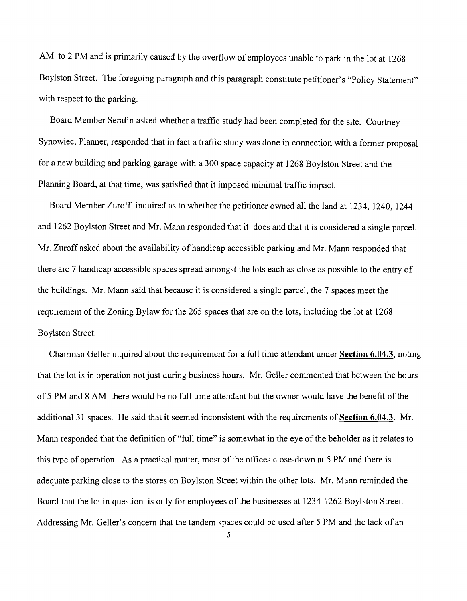AM to 2 PM and is primarily caused by the overflow of employees unable to park in the lot at 1268 Boylston Street. The foregoing paragraph and this paragraph constitute petitioner's "Policy Statement" with respect to the parking.

Board Member Serafin asked whether a traffic study had been completed for the site. Courtney Synowiec, Planner, responded that in fact a traffic study was done in connection with a former proposal for a new building and parking garage with a 300 space capacity at 1268 Boylston Street and the Planning Board, at that time, was satisfied that it imposed minimal traffic impact.

Board Member Zuroff inquired as to whether the petitioner owned all the land at 1234, 1240, 1244 and 1262 Boylston Street and Mr. Mann responded that it does and that it is considered a single parcel. Mr. Zuroff asked about the availability of handicap accessible parking and Mr. Mann responded that there are 7 handicap accessible spaces spread amongst the lots each as close as possible to the entry of the buildings. Mr. Mann said that because it is considered a single parcel, the 7 spaces meet the requirement of the Zoning Bylaw for the 265 spaces that are on the lots, including the lot at 1268 Boylston Street.

Chairman Geller inquired about the requirement for a full time attendant under Section 6.04.3, noting that the lot is in operation not just during business hours. Mr. Geller commented that between the hours of 5 PM and 8 AM there would be no full time attendant but the owner would have the benefit of the additional 31 spaces. He said that it seemed inconsistent with the requirements of Section 6.04.3. Mr. Mann responded that the definition of "full time" is somewhat in the eye of the beholder as it relates to this type of operation. As a practical matter, most of the offices close-down at 5 PM and there is adequate parking close to the stores on Boylston Street within the other lots. Mr. Mann reminded the Board that the lot in question is only for employees of the businesses at 1234-1262 Boylston Street. Addressing Mr. Geller's concern that the tandem spaces could be used after 5 PM and the lack of an

5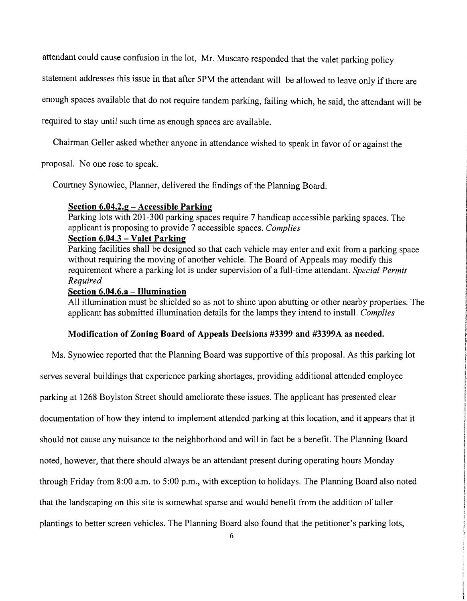attendant could cause confusion in the lot, Mr. Muscaro responded that the valet parking policy

statement addresses this issue in that after 5PM the attendant will be allowed to leave only if there are

enough spaces available that do not require tandem parking, failing which, he said, the attendant will be

required to stay until such time as enough spaces are available.

Chairman Geller asked whether anyone in attendance wished to speak in favor of or against the

proposal. No one rose to speak.

Courtney Synowiec, Planner, delivered the findings of the Planning Board.

#### **Section 6.04.2.g - Accessible Parking**

Parking lots with 201-300 parking spaces require 7 handicap accessible parking spaces. The applicant is proposing to provide 7 accessible spaces. *Complies* 

## **Section 6.04.3 - Valet Parking**

Parking facilities shall be designed so that each vehicle may enter and exit from a parking space without requiring the moving of another vehicle. The Board of Appeals may modify this requirement where a parking lot is under supervision of a full-time attendant. *Special Permit Required.* 

#### **Section 6.04.6.a - Illumination**

All illumination must be shielded so as not to shine upon abutting or other nearby properties. The applicant has submitted illumination details for the lamps they intend to install. *Complies* 

#### **Modification of Zoning Board of Appeals Decisions #3399 and #3399A as needed.**

Ms. Synowiec reported that the Planning Board was supportive of this proposal. As this parking lot serves several buildings that experience parking shortages, providing additional attended employee parking at 1268 Boylston Street should ameliorate these issues. The applicant has presented clear documentation of how they intend to implement attended parking at this location, and it appears that it should not cause any nuisance to the neighborhood and will in fact be a benefit. The Planning Board noted, however, that there should always be an attendant present during operating hours Monday through Friday from 8:00 a.m. to 5:00 p.m., with exception to holidays. The Planning Board also noted that the landscaping on this site is somewhat sparse and would benefit from the addition of taller plantings to better screen vehicles. The Planning Board also found that the petitioner's parking lots,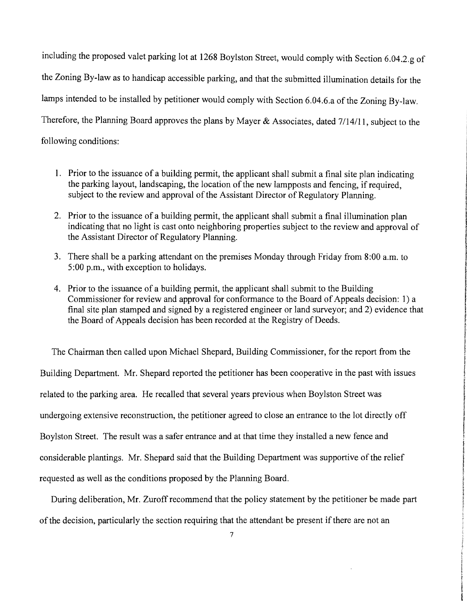including the proposed valet parking lot at 1268 Boylston Street, would comply with Section 6.04.2.g of the Zoning By-law as to handicap accessible parking, and that the submitted illumination details for the lamps intended to be installed by petitioner would comply with Section 6.04.6.a of the Zoning By-law. Therefore, the Planning Board approves the plans by Mayer & Associates, dated 7/14/11, subject to the following conditions:

1. Prior to the issuance of a building permit, the applicant shall submit a final site plan indicating the parking layout, landscaping, the location of the new lampposts and fencing, if required, subject to the review and approval of the Assistant Director of Regulatory Planning.

: 

**International Control** f Programmed. ! **In the Property Company of the Company of Company INSURANCE** 

f

the property of the core of the core of the core of the core of the core of the core of the core of the core of the core of the core of the core of the core of the core of the core of the core of the core of the core of th

participate in the **International Property Inc.** f Wyne **International Property** f **Walker** I **[** 

f

!.

1914-1924 or

idadia-

is an interest confirmed

- 2. Prior to the issuance of a building permit, the applicant shall submit a final illumination plan indicating that no light is cast onto neighboring properties subject to the review and approval of the Assistant Director of Regulatory Planning.
- 3. There shall be a parking attendant on the premises Monday through Friday from 8:00 a.m. to 5:00 p.m., with exception to holidays.
- 4. Prior to the issuance of a building permit, the applicant shall submit to the Building Commissioner for review and approval for conformance to the Board of Appeals decision: 1) a final site plan stamped and signed by a registered engineer or land surveyor; and 2) evidence that the Board of Appeals decision has been recorded at the Registry of Deeds.

The Chairman then called upon Michael Shepard, Building Commissioner, for the report from the Building Department. Mr. Shepard reported the petitioner has been cooperative in the past with issues related to the parking area. He recalled that several years previous when Boylston Street was undergoing extensive reconstruction, the petitioner agreed to close an entrance to the lot directly off Boylston Street. The result was a safer entrance and at that time they installed a new fence and considerable plantings. Mr. Shepard said that the Building Department was supportive of the relief requested as well as the conditions proposed by the Planning Board.

During deliberation, Mr. Zuroff recommend that the policy statement by the petitioner be made part of the decision, particularly the section requiring that the attendant be present if there are not an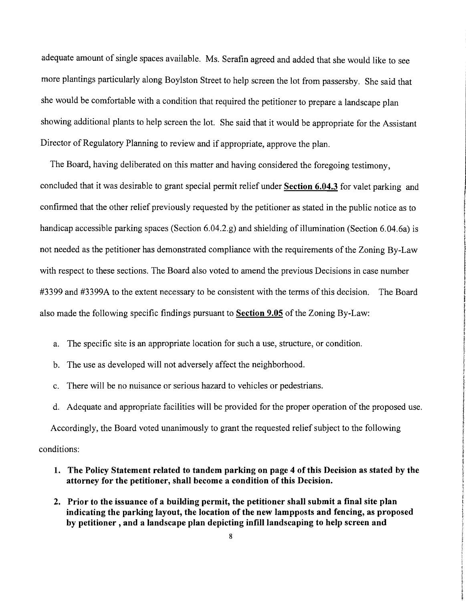adequate amount of single spaces available. Ms. Serafin agreed and added that she would like to see more plantings particularly along Boylston Street to help screen the lot from passersby. She said that she would be comfortable with a condition that required the petitioner to prepare a landscape plan showing additional plants to help screen the lot. She said that it would be appropriate for the Assistant Director of Regulatory Planning to review and if appropriate, approve the plan.

The Board, having deliberated on this matter and having considered the foregoing testimony, concluded that it was desirable to grant special permit relief under **Section 6.04.3** for valet parking and confirmed that the other relief previously requested by the petitioner as stated in the public notice as to handicap accessible parking spaces (Section 6.04.2.g) and shielding of illumination (Section 6.04.6a) is not needed as the petitioner has demonstrated compliance with the requirements of the Zoning By-Law with respect to these sections. The Board also voted to amend the previous Decisions in case number #3399 and #3399A to the extent necessary to be consistent with the terms of this decision. The Board also made the following specific findings pursuant to **Section 9.05** of the Zoning By-Law:

- a. The specific site is an appropriate location for such a use, structure, or condition.
- b. The use as developed will not adversely affect the neighborhood.
- c. There will be no nuisance or serious hazard to vehicles or pedestrians.
- d. Adequate and appropriate facilities will be provided for the proper operation of the proposed use.

Accordingly, the Board voted unanimously to grant the requested relief subject to the following conditions:

- **1. The Policy Statement related to tandem parking on page 4 of this Decision as stated by the attorney for the petitioner, shall become a condition of this Decision.**
- **2. Prior to the issuance of a building permit, the petitioner shall submit a final site plan indicating the parking layout, the location of the new lampposts and fencing, as proposed**  by petitioner, and a landscape plan depicting infill landscaping to help screen and